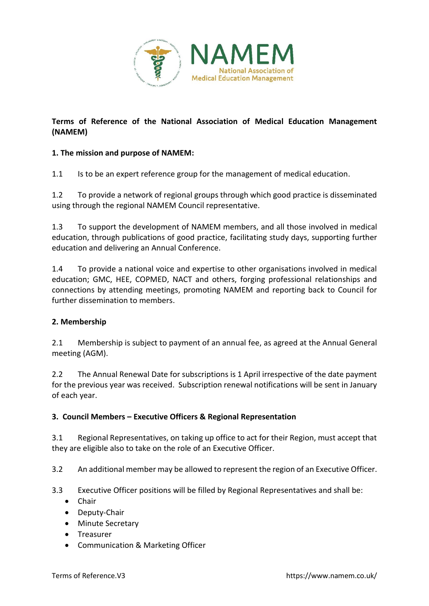

# **Terms of Reference of the National Association of Medical Education Management (NAMEM)**

# **1. The mission and purpose of NAMEM:**

1.1 Is to be an expert reference group for the management of medical education.

1.2 To provide a network of regional groups through which good practice is disseminated using through the regional NAMEM Council representative.

1.3 To support the development of NAMEM members, and all those involved in medical education, through publications of good practice, facilitating study days, supporting further education and delivering an Annual Conference.

1.4 To provide a national voice and expertise to other organisations involved in medical education; GMC, HEE, COPMED, NACT and others, forging professional relationships and connections by attending meetings, promoting NAMEM and reporting back to Council for further dissemination to members.

# **2. Membership**

2.1 Membership is subject to payment of an annual fee, as agreed at the Annual General meeting (AGM).

2.2 The Annual Renewal Date for subscriptions is 1 April irrespective of the date payment for the previous year was received. Subscription renewal notifications will be sent in January of each year.

## **3. Council Members – Executive Officers & Regional Representation**

3.1 Regional Representatives, on taking up office to act for their Region, must accept that they are eligible also to take on the role of an Executive Officer.

3.2 An additional member may be allowed to represent the region of an Executive Officer.

- 3.3 Executive Officer positions will be filled by Regional Representatives and shall be:
	- **•** Chair
	- Deputy-Chair
	- Minute Secretary
	- **•** Treasurer
	- Communication & Marketing Officer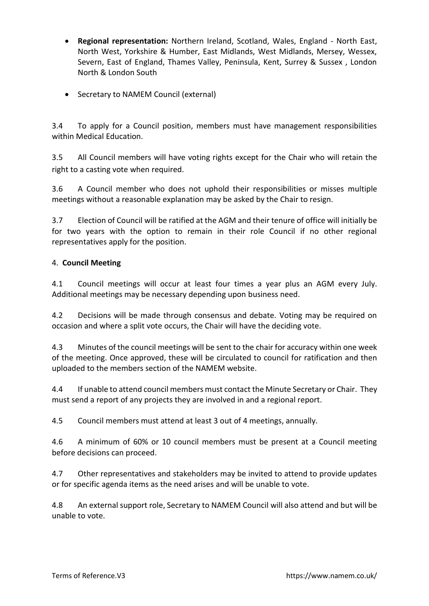- **Regional representation:** Northern Ireland, Scotland, Wales, England North East, North West, Yorkshire & Humber, East Midlands, West Midlands, Mersey, Wessex, Severn, East of England, Thames Valley, Peninsula, Kent, Surrey & Sussex , London North & London South
- Secretary to NAMEM Council (external)

3.4 To apply for a Council position, members must have management responsibilities within Medical Education.

3.5 All Council members will have voting rights except for the Chair who will retain the right to a casting vote when required.

3.6 A Council member who does not uphold their responsibilities or misses multiple meetings without a reasonable explanation may be asked by the Chair to resign.

3.7 Election of Council will be ratified at the AGM and their tenure of office will initially be for two years with the option to remain in their role Council if no other regional representatives apply for the position.

# 4. **Council Meeting**

4.1 Council meetings will occur at least four times a year plus an AGM every July. Additional meetings may be necessary depending upon business need.

4.2 Decisions will be made through consensus and debate. Voting may be required on occasion and where a split vote occurs, the Chair will have the deciding vote.

4.3 Minutes of the council meetings will be sent to the chair for accuracy within one week of the meeting. Once approved, these will be circulated to council for ratification and then uploaded to the members section of the NAMEM website.

4.4 If unable to attend council members must contact the Minute Secretary or Chair. They must send a report of any projects they are involved in and a regional report.

4.5 Council members must attend at least 3 out of 4 meetings, annually.

4.6 A minimum of 60% or 10 council members must be present at a Council meeting before decisions can proceed.

4.7 Other representatives and stakeholders may be invited to attend to provide updates or for specific agenda items as the need arises and will be unable to vote.

4.8 An external support role, Secretary to NAMEM Council will also attend and but will be unable to vote.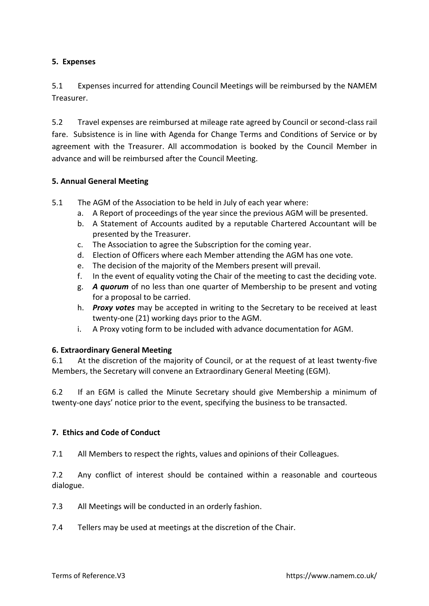## **5. Expenses**

5.1 Expenses incurred for attending Council Meetings will be reimbursed by the NAMEM Treasurer.

5.2 Travel expenses are reimbursed at mileage rate agreed by Council or second-class rail fare. Subsistence is in line with Agenda for Change Terms and Conditions of Service or by agreement with the Treasurer. All accommodation is booked by the Council Member in advance and will be reimbursed after the Council Meeting.

## **5. Annual General Meeting**

- 5.1 The AGM of the Association to be held in July of each year where:
	- a. A Report of proceedings of the year since the previous AGM will be presented.
	- b. A Statement of Accounts audited by a reputable Chartered Accountant will be presented by the Treasurer.
	- c. The Association to agree the Subscription for the coming year.
	- d. Election of Officers where each Member attending the AGM has one vote.
	- e. The decision of the majority of the Members present will prevail.
	- f. In the event of equality voting the Chair of the meeting to cast the deciding vote.
	- g. *A quorum* of no less than one quarter of Membership to be present and voting for a proposal to be carried.
	- h. *Proxy votes* may be accepted in writing to the Secretary to be received at least twenty-one (21) working days prior to the AGM.
	- i. A Proxy voting form to be included with advance documentation for AGM.

#### **6. Extraordinary General Meeting**

6.1 At the discretion of the majority of Council, or at the request of at least twenty-five Members, the Secretary will convene an Extraordinary General Meeting (EGM).

6.2 If an EGM is called the Minute Secretary should give Membership a minimum of twenty-one days' notice prior to the event, specifying the business to be transacted.

#### **7. Ethics and Code of Conduct**

7.1 All Members to respect the rights, values and opinions of their Colleagues.

7.2 Any conflict of interest should be contained within a reasonable and courteous dialogue.

- 7.3 All Meetings will be conducted in an orderly fashion.
- 7.4 Tellers may be used at meetings at the discretion of the Chair.